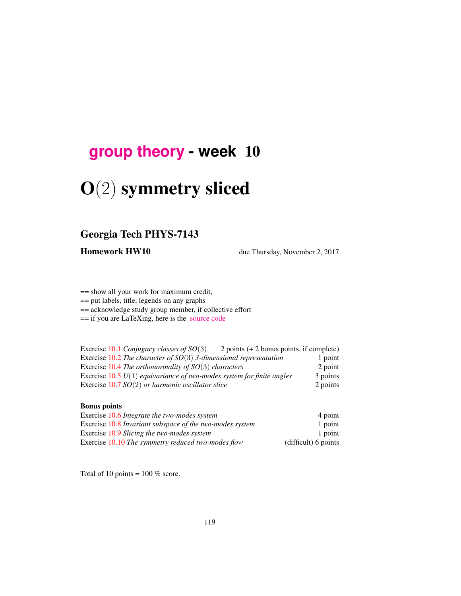## **[group theory](http://birdtracks.eu/courses/PHYS-7143-17/schedule.html) - week** 10

# O(2) symmetry sliced

### Georgia Tech PHYS-7143

Homework HW10 due Thursday, November 2, 2017

== show all your work for maximum credit,

== put labels, title, legends on any graphs

== acknowledge study group member, if collective effort

== if you are LaTeXing, here is the [source code](http://birdtracks.eu/courses/PHYS-7143-17/exerWeek10.tex)

| Exercise 10.1 Conjugacy classes of $SO(3)$                              | 2 points $(+ 2$ bonus points, if complete) |          |
|-------------------------------------------------------------------------|--------------------------------------------|----------|
| Exercise 10.2 The character of $SO(3)$ 3-dimensional representation     |                                            | 1 point  |
| Exercise 10.4 The orthonormality of $SO(3)$ characters                  |                                            | 2 point  |
| Exercise $10.5 U(1)$ equivariance of two-modes system for finite angles |                                            | 3 points |
| Exercise 10.7 $SO(2)$ or harmonic oscillator slice                      |                                            | 2 points |

#### Bonus points

| Exercise 10.6 Integrate the two-modes system             | 4 point              |
|----------------------------------------------------------|----------------------|
| Exercise 10.8 Invariant subspace of the two-modes system | 1 point              |
| Exercise 10.9 Slicing the two-modes system               | 1 point              |
| Exercise 10.10 The symmetry reduced two-modes flow       | (difficult) 6 points |

Total of 10 points =  $100\%$  score.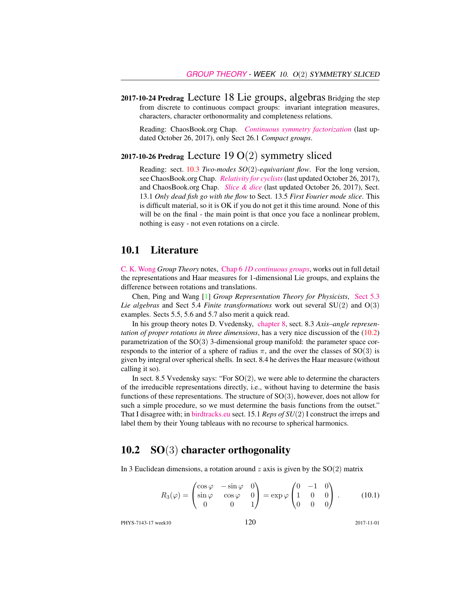2017-10-24 Predrag Lecture 18 Lie groups, algebras Bridging the step from discrete to continuous compact groups: invariant integration measures, characters, character orthonormality and completeness relations.

Reading: ChaosBook.org Chap. *[Continuous symmetry factorization](http://birdtracks.eu/courses/PHYS-7143-17/rpo.pdf)* (last updated October 26, 2017), only Sect 26.1 *Compact groups*.

#### 2017-10-26 Predrag Lecture 19  $O(2)$  symmetry sliced

Reading: sect. 10.3 *Two-modes SO*(2)*-equivariant flow*. For the long version, see ChaosBook.org Chap. *[Relativity for cyclists](http://birdtracks.eu/courses/PHYS-7143-17/continuous.pdf)*(last updated October 26, 2017), and ChaosBook.org Chap. *[Slice & dice](http://birdtracks.eu/courses/PHYS-7143-17/slice.pdf)* (last updated October 26, 2017), Sect. 13.1 *Only dead fish go with the flow* to Sect. 13.5 *First Fourier mode slice*. This is difficult material, so it is OK if you do not get it this time around. None of this will be on the final - the main point is that once you face a nonlinear problem, nothing is easy - not even rotations on a circle.

#### 10.1 Literature

[C. K. Wong](http://ckw.phys.ncku.edu.tw/) *Group Theory* notes, Chap 6 *[1D continuous groups](http://ckw.phys.ncku.edu.tw/public/pub/Notes/Mathematics/GroupTheory/Tung/Powerpoint/6._1DContinuousGroups.ppt)*, works out in full detail the representations and Haar measures for 1-dimensional Lie groups, and explains the difference between rotations and translations.

Chen, Ping and Wang [1] *Group Representation Theory for Physicists*, [Sect 5.3](http://chaosbook.org/library/Chen5-2.pdf) *Lie algebras* and Sect 5.4 *Finite transformations* work out several SU(2) and O(3) examples. Sects 5.5, 5.6 and 5.7 also merit a quick read.

In his group theory notes D. Vvedensky, [chapter 8,](http://birdtracks.eu/courses/PHYS-7143-17/VvedenskyCh8.pdf) sect. 8.3 *Axis–angle representation of proper rotations in three dimensions*, has a very nice discussion of the (10.2) parametrization of the  $SO(3)$  3-dimensional group manifold: the parameter space corresponds to the interior of a sphere of radius  $\pi$ , and the over the classes of SO(3) is given by integral over spherical shells. In sect. 8.4 he derives the Haar measure (without calling it so).

In sect. 8.5 Vvedensky says: "For  $SO(2)$ , we were able to determine the characters of the irreducible representations directly, i.e., without having to determine the basis functions of these representations. The structure of  $SO(3)$ , however, does not allow for such a simple procedure, so we must determine the basis functions from the outset." That I disagree with; in [birdtracks.eu](http://birdtracks.eu) sect. 15.1 *Reps of SU*(2) I construct the irreps and label them by their Young tableaus with no recourse to spherical harmonics.

#### 10.2  $SO(3)$  character orthogonality

In 3 Euclidean dimensions, a rotation around z axis is given by the  $SO(2)$  matrix

$$
R_3(\varphi) = \begin{pmatrix} \cos \varphi & -\sin \varphi & 0 \\ \sin \varphi & \cos \varphi & 0 \\ 0 & 0 & 1 \end{pmatrix} = \exp \varphi \begin{pmatrix} 0 & -1 & 0 \\ 1 & 0 & 0 \\ 0 & 0 & 0 \end{pmatrix} . \tag{10.1}
$$

PHYS-7143-17 week10 120 2017-11-01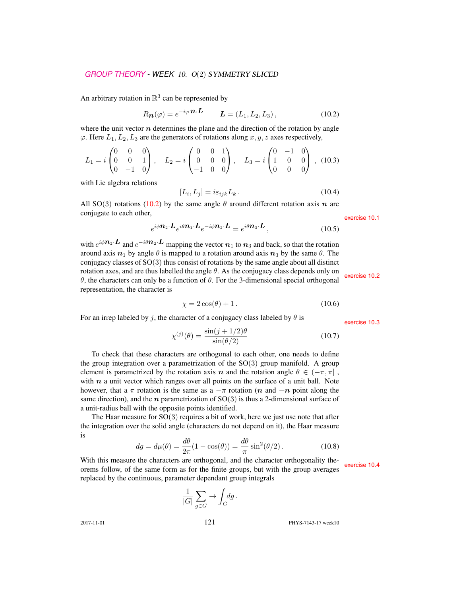An arbitrary rotation in  $\mathbb{R}^3$  can be represented by

$$
R_{\boldsymbol{n}}(\varphi) = e^{-i\varphi} \boldsymbol{n} \cdot \boldsymbol{L} \qquad \boldsymbol{L} = (L_1, L_2, L_3), \qquad (10.2)
$$

where the unit vector  $n$  determines the plane and the direction of the rotation by angle  $\varphi$ . Here  $L_1, L_2, L_3$  are the generators of rotations along  $x, y, z$  axes respectively,

$$
L_1 = i \begin{pmatrix} 0 & 0 & 0 \\ 0 & 0 & 1 \\ 0 & -1 & 0 \end{pmatrix}, \quad L_2 = i \begin{pmatrix} 0 & 0 & 1 \\ 0 & 0 & 0 \\ -1 & 0 & 0 \end{pmatrix}, \quad L_3 = i \begin{pmatrix} 0 & -1 & 0 \\ 1 & 0 & 0 \\ 0 & 0 & 0 \end{pmatrix}, (10.3)
$$

with Lie algebra relations

$$
[L_i, L_j] = i\varepsilon_{ijk} L_k. \tag{10.4}
$$

All SO(3) rotations (10.2) by the same angle  $\theta$  around different rotation axis n are conjugate to each other, exercise 10.1

$$
e^{i\phi \mathbf{n}_2 \cdot \mathbf{L}} e^{i\theta \mathbf{n}_1 \cdot \mathbf{L}} e^{-i\phi \mathbf{n}_2 \cdot \mathbf{L}} = e^{i\theta \mathbf{n}_3 \cdot \mathbf{L}}, \qquad (10.5)
$$

with  $e^{i\phi \mathbf{n}_2 \cdot \mathbf{L}}$  and  $e^{-i\theta \mathbf{n}_2 \cdot \mathbf{L}}$  mapping the vector  $\mathbf{n}_1$  to  $\mathbf{n}_3$  and back, so that the rotation around axis  $n_1$  by angle  $\theta$  is mapped to a rotation around axis  $n_3$  by the same  $\theta$ . The conjugacy classes of SO(3) thus consist of rotations by the same angle about all distinct rotation axes, and are thus labelled the angle θ. As the conjugacy class depends only on  $θ$ , the characters can only be a function of θ. For the 3-dimensional special orthogonal special orthogonal representation, the character is

$$
\chi = 2\cos(\theta) + 1. \tag{10.6}
$$

For an irrep labeled by j, the character of a conjugacy class labeled by  $\theta$  is exercise 10.3

$$
\chi^{(j)}(\theta) = \frac{\sin(j+1/2)\theta}{\sin(\theta/2)}\tag{10.7}
$$

To check that these characters are orthogonal to each other, one needs to define the group integration over a parametrization of the  $SO(3)$  group manifold. A group element is parametrized by the rotation axis n and the rotation angle  $\theta \in (-\pi, \pi]$ , with  $n$  a unit vector which ranges over all points on the surface of a unit ball. Note however, that a  $\pi$  rotation is the same as a  $-\pi$  rotation (n and  $-n$  point along the same direction), and the *n* parametrization of  $SO(3)$  is thus a 2-dimensional surface of a unit-radius ball with the opposite points identified.

The Haar measure for  $SO(3)$  requires a bit of work, here we just use note that after the integration over the solid angle (characters do not depend on it), the Haar measure is

$$
dg = d\mu(\theta) = \frac{d\theta}{2\pi}(1 - \cos(\theta)) = \frac{d\theta}{\pi}\sin^2(\theta/2). \tag{10.8}
$$

With this measure the characters are orthogonal, and the character orthogonality theorems follow, of the same form as for the finite groups, but with the group averages replaced by the continuous, parameter dependant group integrals

$$
\frac{1}{|G|} \sum_{g \in G} \to \int_G \! dg \, .
$$

2017-11-01 **121 PHYS-7143-17** week10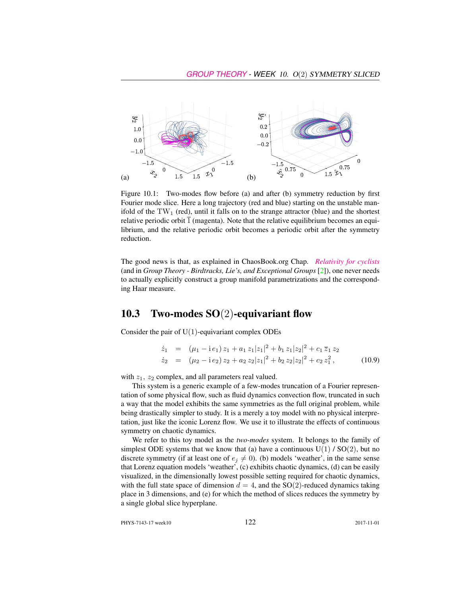

Figure 10.1: Two-modes flow before (a) and after (b) symmetry reduction by first Fourier mode slice. Here a long trajectory (red and blue) starting on the unstable manifold of the  $TW_1$  (red), until it falls on to the strange attractor (blue) and the shortest relative periodic orbit  $\overline{1}$  (magenta). Note that the relative equilibrium becomes an equilibrium, and the relative periodic orbit becomes a periodic orbit after the symmetry reduction.

The good news is that, as explained in ChaosBook.org Chap. *[Relativity for cyclists](http://birdtracks.eu/courses/PHYS-7143-17/continuous.pdf)* (and in *Group Theory - Birdtracks, Lie's, and Exceptional Groups* [2]), one never needs to actually explicitly construct a group manifold parametrizations and the corresponding Haar measure.

#### **10.3** Two-modes  $SO(2)$ -equivariant flow

Consider the pair of  $U(1)$ -equivariant complex ODEs

$$
\dot{z}_1 = (\mu_1 - i e_1) z_1 + a_1 z_1 |z_1|^2 + b_1 z_1 |z_2|^2 + c_1 \overline{z}_1 z_2
$$
  
\n
$$
\dot{z}_2 = (\mu_2 - i e_2) z_2 + a_2 z_2 |z_1|^2 + b_2 z_2 |z_2|^2 + c_2 z_1^2,
$$
 (10.9)

with  $z_1$ ,  $z_2$  complex, and all parameters real valued.

This system is a generic example of a few-modes truncation of a Fourier representation of some physical flow, such as fluid dynamics convection flow, truncated in such a way that the model exhibits the same symmetries as the full original problem, while being drastically simpler to study. It is a merely a toy model with no physical interpretation, just like the iconic Lorenz flow. We use it to illustrate the effects of continuous symmetry on chaotic dynamics.

We refer to this toy model as the *two-modes* system. It belongs to the family of simplest ODE systems that we know that (a) have a continuous  $U(1) / SO(2)$ , but no discrete symmetry (if at least one of  $e_j \neq 0$ ). (b) models 'weather', in the same sense that Lorenz equation models 'weather', (c) exhibits chaotic dynamics, (d) can be easily visualized, in the dimensionally lowest possible setting required for chaotic dynamics, with the full state space of dimension  $d = 4$ , and the SO(2)-reduced dynamics taking place in 3 dimensions, and (e) for which the method of slices reduces the symmetry by a single global slice hyperplane.

PHYS-7143-17 week10 122 2017-11-01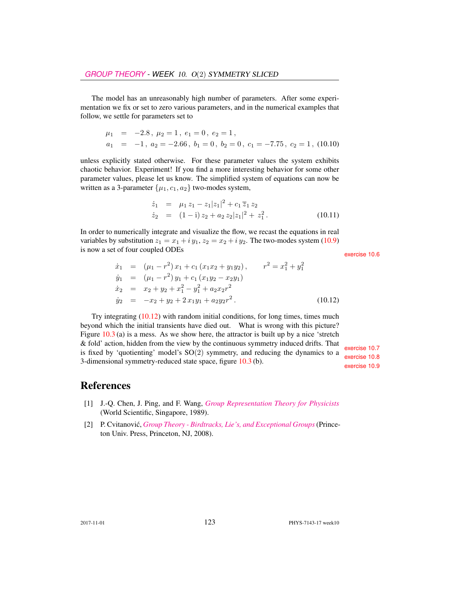The model has an unreasonably high number of parameters. After some experimentation we fix or set to zero various parameters, and in the numerical examples that follow, we settle for parameters set to

$$
\mu_1 = -2.8, \mu_2 = 1, e_1 = 0, e_2 = 1,
$$
  
\n
$$
a_1 = -1, a_2 = -2.66, b_1 = 0, b_2 = 0, c_1 = -7.75, c_2 = 1, (10.10)
$$

unless explicitly stated otherwise. For these parameter values the system exhibits chaotic behavior. Experiment! If you find a more interesting behavior for some other parameter values, please let us know. The simplified system of equations can now be written as a 3-parameter  $\{\mu_1, c_1, a_2\}$  two-modes system,

$$
\dot{z}_1 = \mu_1 z_1 - z_1 |z_1|^2 + c_1 \overline{z}_1 z_2
$$
  
\n
$$
\dot{z}_2 = (1 - i) z_2 + a_2 z_2 |z_1|^2 + z_1^2.
$$
 (10.11)

In order to numerically integrate and visualize the flow, we recast the equations in real variables by substitution  $z_1 = x_1 + iy_1$ ,  $z_2 = x_2 + iy_2$ . The two-modes system (10.9) is now a set of four coupled ODEs exercise 10.6

$$
\dot{x}_1 = (\mu_1 - r^2) x_1 + c_1 (x_1 x_2 + y_1 y_2), \qquad r^2 = x_1^2 + y_1^2 \n\dot{y}_1 = (\mu_1 - r^2) y_1 + c_1 (x_1 y_2 - x_2 y_1) \n\dot{x}_2 = x_2 + y_2 + x_1^2 - y_1^2 + a_2 x_2 r^2 \n\dot{y}_2 = -x_2 + y_2 + 2 x_1 y_1 + a_2 y_2 r^2.
$$
\n(10.12)

Try integrating  $(10.12)$  with random initial conditions, for long times, times much beyond which the initial transients have died out. What is wrong with this picture? Figure  $10.3$  (a) is a mess. As we show here, the attractor is built up by a nice 'stretch & fold' action, hidden from the view by the continuous symmetry induced drifts. That<br>is fixed by 'quotienting' model's  $SO(2)$  symmetry, and reducing the dynamics to a<br>3-dimensional symmetry-reduced state space, figure 10.

#### References

- [1] J.-Q. Chen, J. Ping, and F. Wang, *[Group Representation Theory for Physicists](http://dx.doi.org/10.1142/0262)* (World Scientific, Singapore, 1989).
- [2] P. Cvitanović, *[Group Theory Birdtracks, Lie's, and Exceptional Groups](http://dx.doi.org/10.1515/9781400837670)* (Princeton Univ. Press, Princeton, NJ, 2008).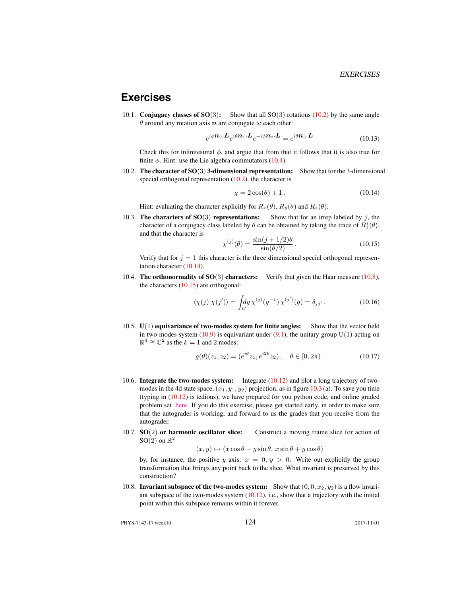#### **Exercises**

10.1. **Conjugacy classes of SO** $(3)$ : Show that all SO $(3)$  rotations  $(10.2)$  by the same angle  $\theta$  around any rotation axis  $n$  are conjugate to each other:

$$
e^{i\phi \mathbf{n}_2 \cdot \mathbf{L}} e^{i\theta \mathbf{n}_1 \cdot \mathbf{L}} e^{-i\phi \mathbf{n}_2 \cdot \mathbf{L}} = e^{i\theta \mathbf{n}_3 \cdot \mathbf{L}} \tag{10.13}
$$

Check this for infinitesimal  $\phi$ , and argue that from that it follows that it is also true for finite  $\phi$ . Hint: use the Lie algebra commutators (10.4).

10.2. The character of  $SO(3)$  3-dimensional representation: Show that for the 3-dimensional special orthogonal representation  $(10.2)$ , the character is

$$
\chi = 2\cos(\theta) + 1. \tag{10.14}
$$

Hint: evaluating the character explicitly for  $R_x(\theta)$ ,  $R_y(\theta)$  and  $R_z(\theta)$ .

10.3. The characters of  $SO(3)$  representations: Show that for an irrep labeled by j, the character of a conjugacy class labeled by  $\theta$  can be obtained by taking the trace of  $R_z^j(\theta)$ , and that the character is

$$
\chi^{(j)}(\theta) = \frac{\sin(j+1/2)\theta}{\sin(\theta/2)}.
$$
\n(10.15)

Verify that for  $j = 1$  this character is the three dimensional special orthogonal representation character (10.14).

10.4. The orthonormality of  $SO(3)$  characters: Verify that given the Haar measure (10.8), the characters  $(10.15)$  are orthogonal:

$$
\langle \chi(j) | \chi(j') \rangle = \int_G dg \, \chi^{(j)}(g^{-1}) \, \chi^{(j')}(g) = \delta_{jj'}.
$$
 (10.16)

10.5.  $U(1)$  equivariance of two-modes system for finite angles: Show that the vector field in two-modes system  $(10.9)$  is equivariant under  $(9.1)$ , the unitary group  $U(1)$  acting on  $\mathbb{R}^4 \cong \mathbb{C}^2$  as the  $k = 1$  and 2 modes:

$$
g(\theta)(z_1, z_2) = (e^{i\theta} z_1, e^{i2\theta} z_2), \quad \theta \in [0, 2\pi).
$$
 (10.17)

- 10.6. Integrate the two-modes system: Integrate (10.12) and plot a long trajectory of twomodes in the 4d state space,  $(x_1, y_1, y_2)$  projection, as in figure 10.3 (a). To save you time (typing in (10.12) is tedious), we have prepared for you python code, and online graded problem set [here.](https://phys7224.herokuapp.com/grader/homework5) If you do this exercise, please get started early, in order to make sure that the autograder is working, and forward to us the grades that you receive from the autograder.
- 10.7. **SO(2)** or harmonic oscillator slice: Construct a moving frame slice for action of  $SO(2)$  on  $\mathbb{R}^2$

$$
(x, y) \mapsto (x \cos \theta - y \sin \theta, x \sin \theta + y \cos \theta)
$$

by, for instance, the positive y axis:  $x = 0, y > 0$ . Write out explicitly the group transformation that brings any point back to the slice. What invariant is preserved by this construction?

10.8. Invariant subspace of the two-modes system: Show that  $(0, 0, x_2, y_2)$  is a flow invariant subspace of the two-modes system (10.12), i.e., show that a trajectory with the initial point within this subspace remains within it forever.

PHYS-7143-17 week10 124 2017-11-01